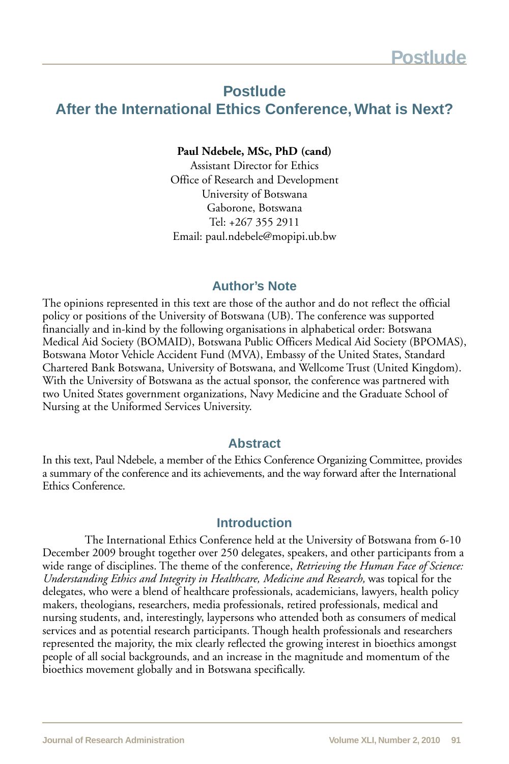# **Postlude**

# **After the International Ethics Conference, What is Next?**

#### **Paul Ndebele, MSc, PhD (cand)**

Assistant Director for Ethics Office of Research and Development University of Botswana Gaborone, Botswana Tel: +267 355 2911 Email: paul.ndebele@mopipi.ub.bw

### **Author's Note**

The opinions represented in this text are those of the author and do not reflect the official policy or positions of the University of Botswana (UB). The conference was supported financially and in-kind by the following organisations in alphabetical order: Botswana Medical Aid Society (BOMAID), Botswana Public Officers Medical Aid Society (BPOMAS), Botswana Motor Vehicle Accident Fund (MVA), Embassy of the United States, Standard Chartered Bank Botswana, University of Botswana, and Wellcome Trust (United Kingdom). With the University of Botswana as the actual sponsor, the conference was partnered with two United States government organizations, Navy Medicine and the Graduate School of Nursing at the Uniformed Services University.

#### **Abstract**

In this text, Paul Ndebele, a member of the Ethics Conference Organizing Committee, provides a summary of the conference and its achievements, and the way forward after the International Ethics Conference.

#### **Introduction**

The International Ethics Conference held at the University of Botswana from 6-10 December 2009 brought together over 250 delegates, speakers, and other participants from a wide range of disciplines. The theme of the conference, *Retrieving the Human Face of Science: Understanding Ethics and Integrity in Healthcare, Medicine and Research,* was topical for the delegates, who were a blend of healthcare professionals, academicians, lawyers, health policy makers, theologians, researchers, media professionals, retired professionals, medical and nursing students, and, interestingly, laypersons who attended both as consumers of medical services and as potential research participants. Though health professionals and researchers represented the majority, the mix clearly reflected the growing interest in bioethics amongst people of all social backgrounds, and an increase in the magnitude and momentum of the bioethics movement globally and in Botswana specifically.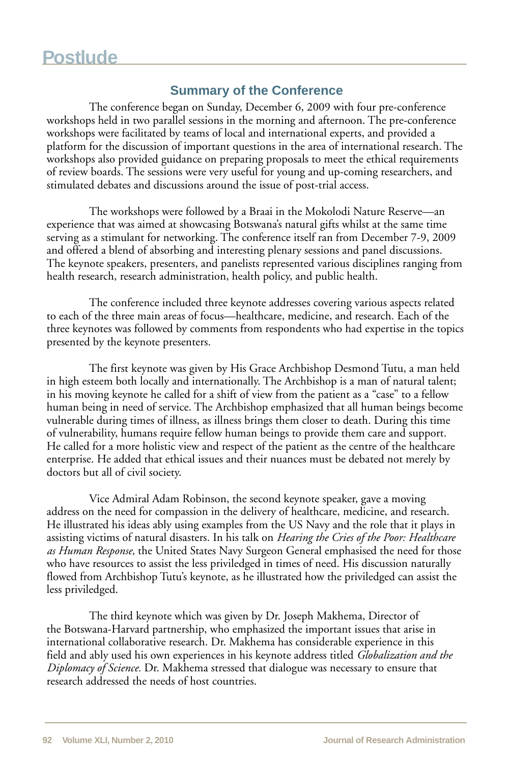## **Summary of the Conference**

The conference began on Sunday, December 6, 2009 with four pre-conference workshops held in two parallel sessions in the morning and afternoon. The pre-conference workshops were facilitated by teams of local and international experts, and provided a platform for the discussion of important questions in the area of international research. The workshops also provided guidance on preparing proposals to meet the ethical requirements of review boards. The sessions were very useful for young and up-coming researchers, and stimulated debates and discussions around the issue of post-trial access.

The workshops were followed by a Braai in the Mokolodi Nature Reserve—an experience that was aimed at showcasing Botswana's natural gifts whilst at the same time serving as a stimulant for networking. The conference itself ran from December 7-9, 2009 and offered a blend of absorbing and interesting plenary sessions and panel discussions. The keynote speakers, presenters, and panelists represented various disciplines ranging from health research, research administration, health policy, and public health.

The conference included three keynote addresses covering various aspects related to each of the three main areas of focus—healthcare, medicine, and research. Each of the three keynotes was followed by comments from respondents who had expertise in the topics presented by the keynote presenters.

The first keynote was given by His Grace Archbishop Desmond Tutu, a man held in high esteem both locally and internationally. The Archbishop is a man of natural talent; in his moving keynote he called for a shift of view from the patient as a "case" to a fellow human being in need of service. The Archbishop emphasized that all human beings become vulnerable during times of illness, as illness brings them closer to death. During this time of vulnerability, humans require fellow human beings to provide them care and support. He called for a more holistic view and respect of the patient as the centre of the healthcare enterprise. He added that ethical issues and their nuances must be debated not merely by doctors but all of civil society.

Vice Admiral Adam Robinson, the second keynote speaker, gave a moving address on the need for compassion in the delivery of healthcare, medicine, and research. He illustrated his ideas ably using examples from the US Navy and the role that it plays in assisting victims of natural disasters. In his talk on *Hearing the Cries of the Poor: Healthcare as Human Response,* the United States Navy Surgeon General emphasised the need for those who have resources to assist the less priviledged in times of need. His discussion naturally flowed from Archbishop Tutu's keynote, as he illustrated how the priviledged can assist the less priviledged.

The third keynote which was given by Dr. Joseph Makhema, Director of the Botswana-Harvard partnership, who emphasized the important issues that arise in international collaborative research. Dr. Makhema has considerable experience in this field and ably used his own experiences in his keynote address titled *Globalization and the Diplomacy of Science.* Dr. Makhema stressed that dialogue was necessary to ensure that research addressed the needs of host countries.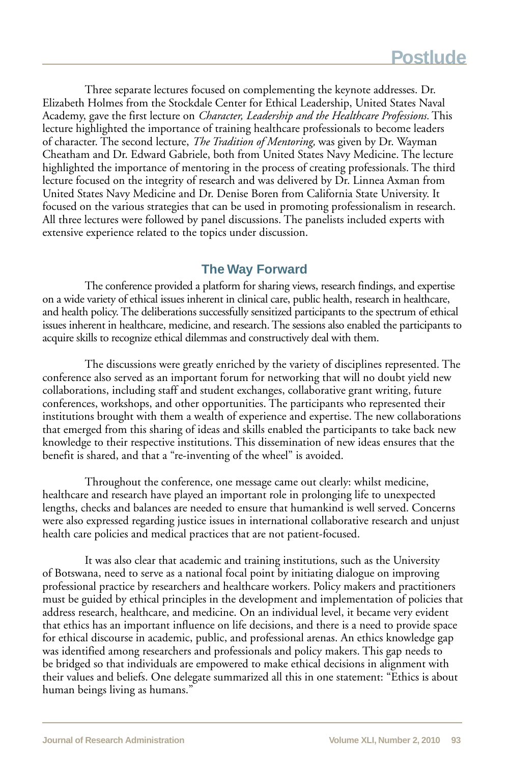Three separate lectures focused on complementing the keynote addresses. Dr. Elizabeth Holmes from the Stockdale Center for Ethical Leadership, United States Naval Academy, gave the first lecture on *Character, Leadership and the Healthcare Professions.* This lecture highlighted the importance of training healthcare professionals to become leaders of character. The second lecture, *The Tradition of Mentoring,* was given by Dr. Wayman Cheatham and Dr. Edward Gabriele, both from United States Navy Medicine. The lecture highlighted the importance of mentoring in the process of creating professionals. The third lecture focused on the integrity of research and was delivered by Dr. Linnea Axman from United States Navy Medicine and Dr. Denise Boren from California State University. It focused on the various strategies that can be used in promoting professionalism in research. All three lectures were followed by panel discussions. The panelists included experts with extensive experience related to the topics under discussion.

## **The Way Forward**

The conference provided a platform for sharing views, research findings, and expertise on a wide variety of ethical issues inherent in clinical care, public health, research in healthcare, and health policy. The deliberations successfully sensitized participants to the spectrum of ethical issues inherent in healthcare, medicine, and research. The sessions also enabled the participants to acquire skills to recognize ethical dilemmas and constructively deal with them.

The discussions were greatly enriched by the variety of disciplines represented. The conference also served as an important forum for networking that will no doubt yield new collaborations, including staff and student exchanges, collaborative grant writing, future conferences, workshops, and other opportunities. The participants who represented their institutions brought with them a wealth of experience and expertise. The new collaborations that emerged from this sharing of ideas and skills enabled the participants to take back new knowledge to their respective institutions. This dissemination of new ideas ensures that the benefit is shared, and that a "re-inventing of the wheel" is avoided.

Throughout the conference, one message came out clearly: whilst medicine, healthcare and research have played an important role in prolonging life to unexpected lengths, checks and balances are needed to ensure that humankind is well served. Concerns were also expressed regarding justice issues in international collaborative research and unjust health care policies and medical practices that are not patient-focused.

It was also clear that academic and training institutions, such as the University of Botswana, need to serve as a national focal point by initiating dialogue on improving professional practice by researchers and healthcare workers. Policy makers and practitioners must be guided by ethical principles in the development and implementation of policies that address research, healthcare, and medicine. On an individual level, it became very evident that ethics has an important influence on life decisions, and there is a need to provide space for ethical discourse in academic, public, and professional arenas. An ethics knowledge gap was identified among researchers and professionals and policy makers. This gap needs to be bridged so that individuals are empowered to make ethical decisions in alignment with their values and beliefs. One delegate summarized all this in one statement: "Ethics is about human beings living as humans."